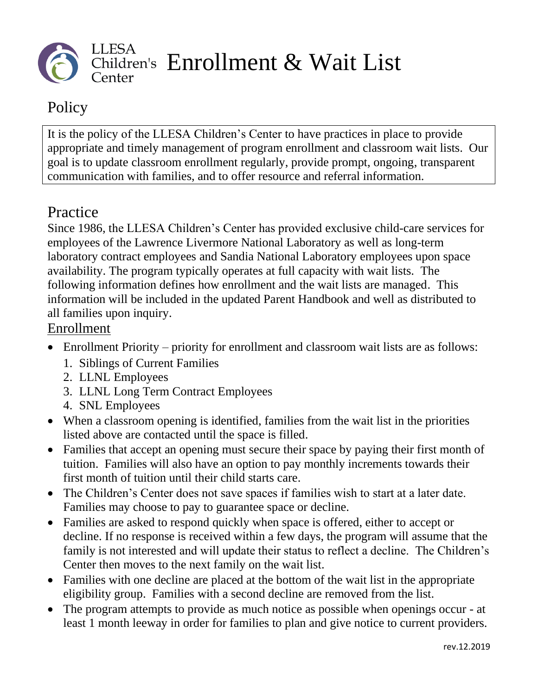

## Policy

It is the policy of the LLESA Children's Center to have practices in place to provide appropriate and timely management of program enrollment and classroom wait lists. Our goal is to update classroom enrollment regularly, provide prompt, ongoing, transparent communication with families, and to offer resource and referral information.

## Practice

Since 1986, the LLESA Children's Center has provided exclusive child-care services for employees of the Lawrence Livermore National Laboratory as well as long-term laboratory contract employees and Sandia National Laboratory employees upon space availability. The program typically operates at full capacity with wait lists. The following information defines how enrollment and the wait lists are managed. This information will be included in the updated Parent Handbook and well as distributed to all families upon inquiry.

## Enrollment

- Enrollment Priority priority for enrollment and classroom wait lists are as follows:
	- 1. Siblings of Current Families
	- 2. LLNL Employees
	- 3. LLNL Long Term Contract Employees
	- 4. SNL Employees
- When a classroom opening is identified, families from the wait list in the priorities listed above are contacted until the space is filled.
- Families that accept an opening must secure their space by paying their first month of tuition. Families will also have an option to pay monthly increments towards their first month of tuition until their child starts care.
- The Children's Center does not save spaces if families wish to start at a later date. Families may choose to pay to guarantee space or decline.
- Families are asked to respond quickly when space is offered, either to accept or decline. If no response is received within a few days, the program will assume that the family is not interested and will update their status to reflect a decline. The Children's Center then moves to the next family on the wait list.
- Families with one decline are placed at the bottom of the wait list in the appropriate eligibility group. Families with a second decline are removed from the list.
- The program attempts to provide as much notice as possible when openings occur at least 1 month leeway in order for families to plan and give notice to current providers.